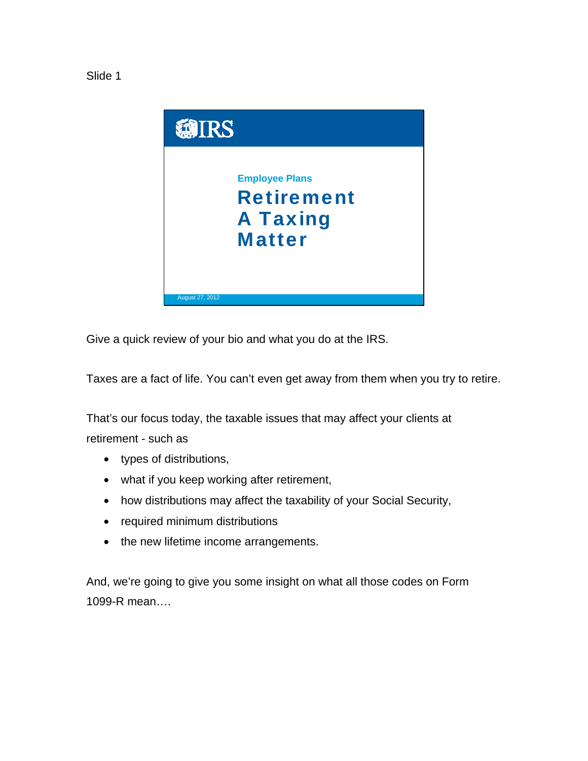



Give a quick review of your bio and what you do at the IRS.

Taxes are a fact of life. You can't even get away from them when you try to retire.

That's our focus today, the taxable issues that may affect your clients at retirement - such as

- types of distributions,
- what if you keep working after retirement,
- how distributions may affect the taxability of your Social Security,
- required minimum distributions
- the new lifetime income arrangements.

And, we're going to give you some insight on what all those codes on Form 1099-R mean….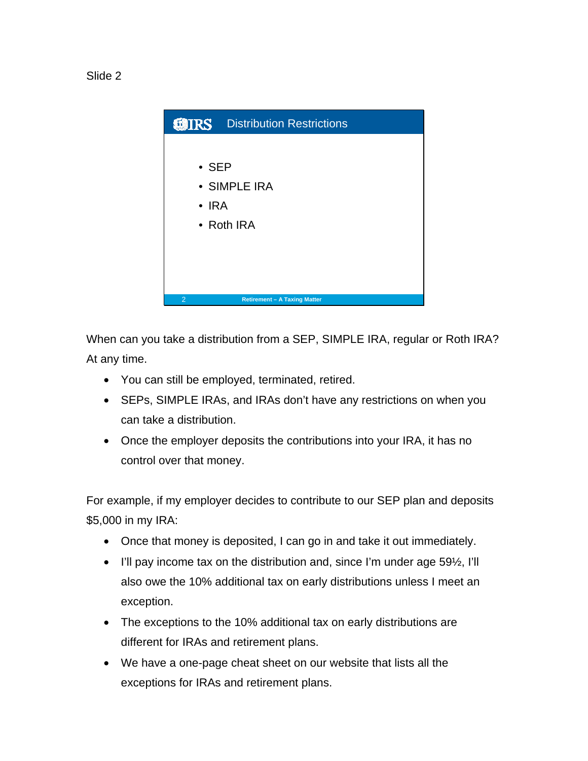



When can you take a distribution from a SEP, SIMPLE IRA, regular or Roth IRA? At any time.

- You can still be employed, terminated, retired.
- SEPs, SIMPLE IRAs, and IRAs don't have any restrictions on when you can take a distribution.
- Once the employer deposits the contributions into your IRA, it has no control over that money.

For example, if my employer decides to contribute to our SEP plan and deposits \$5,000 in my IRA:

- Once that money is deposited, I can go in and take it out immediately.
- I'll pay income tax on the distribution and, since I'm under age 59½, I'll also owe the 10% additional tax on early distributions unless I meet an exception.
- The exceptions to the 10% additional tax on early distributions are different for IRAs and retirement plans.
- We have a one-page cheat sheet on our website that lists all the exceptions for IRAs and retirement plans.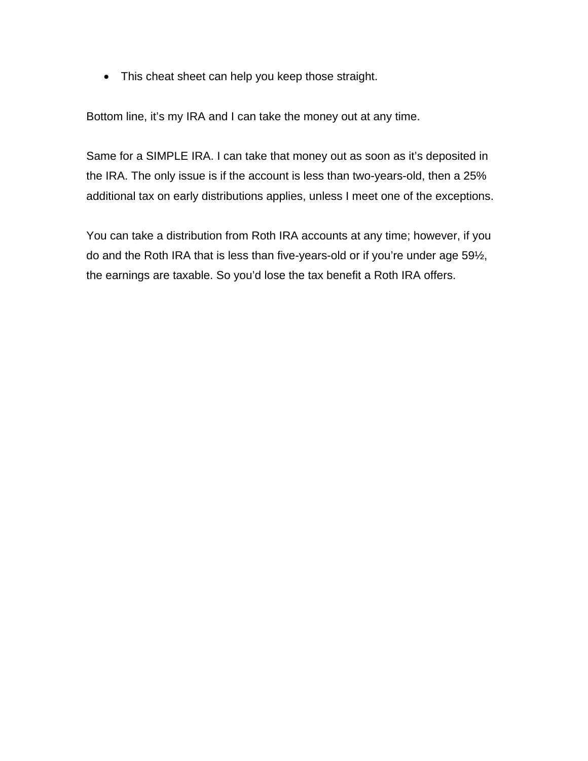• This cheat sheet can help you keep those straight.

Bottom line, it's my IRA and I can take the money out at any time.

Same for a SIMPLE IRA. I can take that money out as soon as it's deposited in the IRA. The only issue is if the account is less than two-years-old, then a 25% additional tax on early distributions applies, unless I meet one of the exceptions.

You can take a distribution from Roth IRA accounts at any time; however, if you do and the Roth IRA that is less than five-years-old or if you're under age 59½, the earnings are taxable. So you'd lose the tax benefit a Roth IRA offers.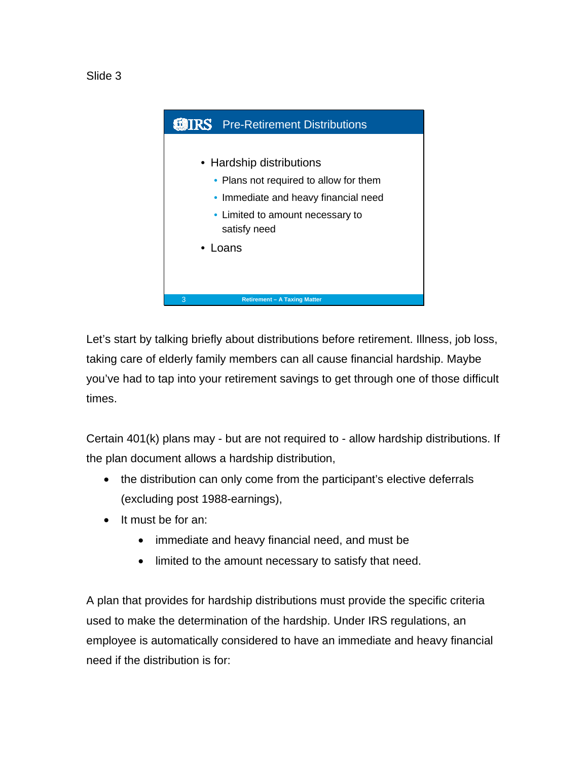



Let's start by talking briefly about distributions before retirement. Illness, job loss, taking care of elderly family members can all cause financial hardship. Maybe you've had to tap into your retirement savings to get through one of those difficult times.

Certain 401(k) plans may - but are not required to - allow hardship distributions. If the plan document allows a hardship distribution,

- the distribution can only come from the participant's elective deferrals (excluding post 1988-earnings),
- It must be for an:
	- immediate and heavy financial need, and must be
	- limited to the amount necessary to satisfy that need.

A plan that provides for hardship distributions must provide the specific criteria used to make the determination of the hardship. Under IRS regulations, an employee is automatically considered to have an immediate and heavy financial need if the distribution is for: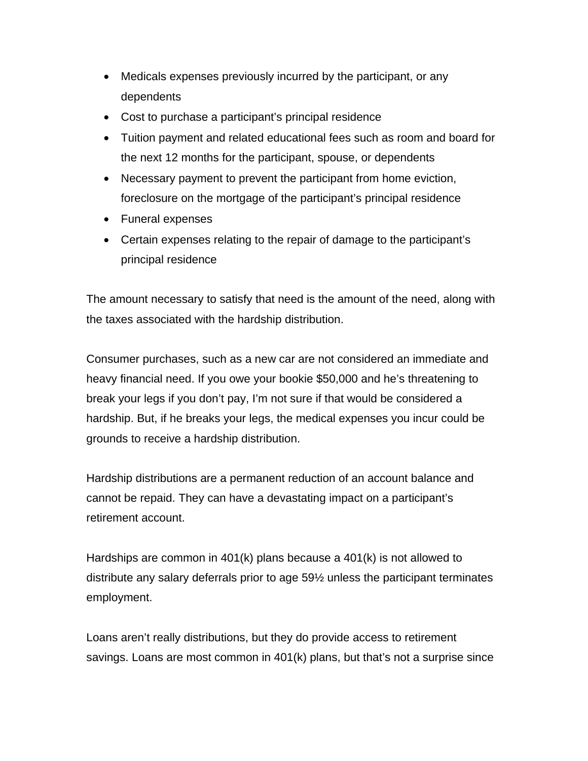- Medicals expenses previously incurred by the participant, or any dependents
- Cost to purchase a participant's principal residence
- Tuition payment and related educational fees such as room and board for the next 12 months for the participant, spouse, or dependents
- Necessary payment to prevent the participant from home eviction, foreclosure on the mortgage of the participant's principal residence
- Funeral expenses
- Certain expenses relating to the repair of damage to the participant's principal residence

The amount necessary to satisfy that need is the amount of the need, along with the taxes associated with the hardship distribution.

Consumer purchases, such as a new car are not considered an immediate and heavy financial need. If you owe your bookie \$50,000 and he's threatening to break your legs if you don't pay, I'm not sure if that would be considered a hardship. But, if he breaks your legs, the medical expenses you incur could be grounds to receive a hardship distribution.

Hardship distributions are a permanent reduction of an account balance and cannot be repaid. They can have a devastating impact on a participant's retirement account.

Hardships are common in 401(k) plans because a 401(k) is not allowed to distribute any salary deferrals prior to age 59½ unless the participant terminates employment.

Loans aren't really distributions, but they do provide access to retirement savings. Loans are most common in 401(k) plans, but that's not a surprise since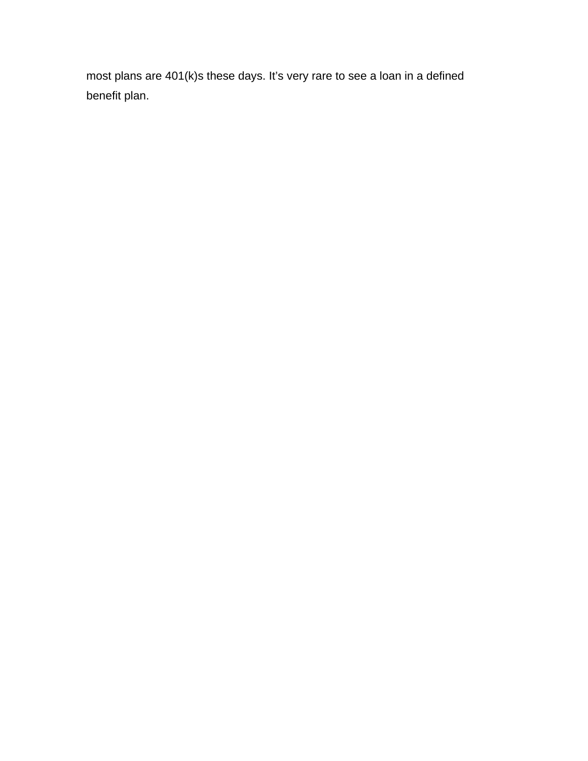most plans are 401(k)s these days. It's very rare to see a loan in a defined benefit plan.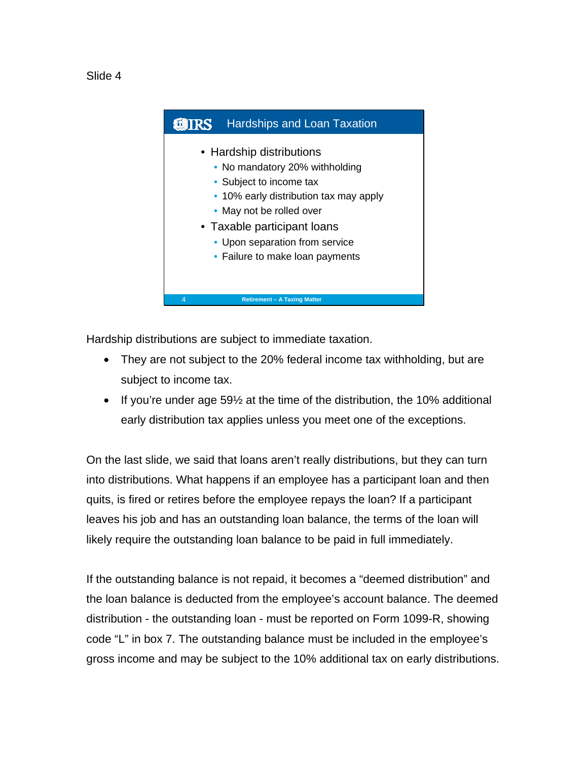



Hardship distributions are subject to immediate taxation.

- They are not subject to the 20% federal income tax withholding, but are subject to income tax.
- If you're under age 59½ at the time of the distribution, the 10% additional early distribution tax applies unless you meet one of the exceptions.

On the last slide, we said that loans aren't really distributions, but they can turn into distributions. What happens if an employee has a participant loan and then quits, is fired or retires before the employee repays the loan? If a participant leaves his job and has an outstanding loan balance, the terms of the loan will likely require the outstanding loan balance to be paid in full immediately.

If the outstanding balance is not repaid, it becomes a "deemed distribution" and the loan balance is deducted from the employee's account balance. The deemed distribution - the outstanding loan - must be reported on Form 1099-R, showing code "L" in box 7. The outstanding balance must be included in the employee's gross income and may be subject to the 10% additional tax on early distributions.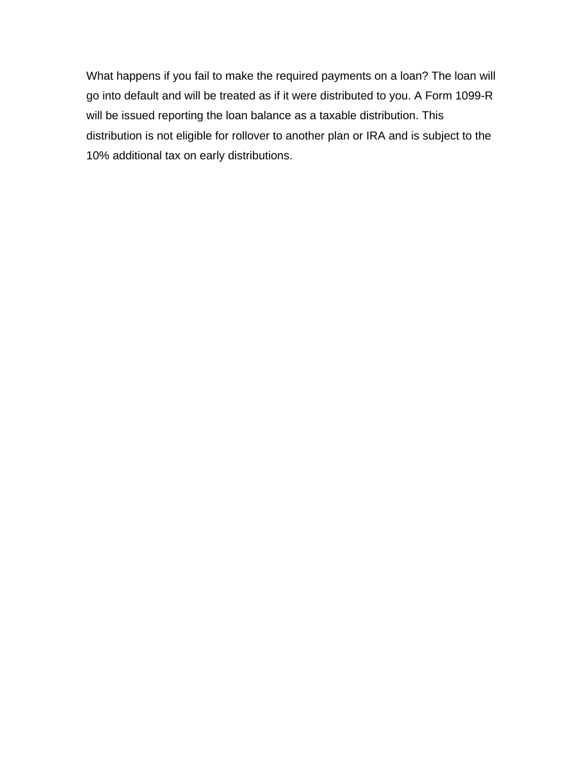What happens if you fail to make the required payments on a loan? The loan will go into default and will be treated as if it were distributed to you. A Form 1099-R will be issued reporting the loan balance as a taxable distribution. This distribution is not eligible for rollover to another plan or IRA and is subject to the 10% additional tax on early distributions.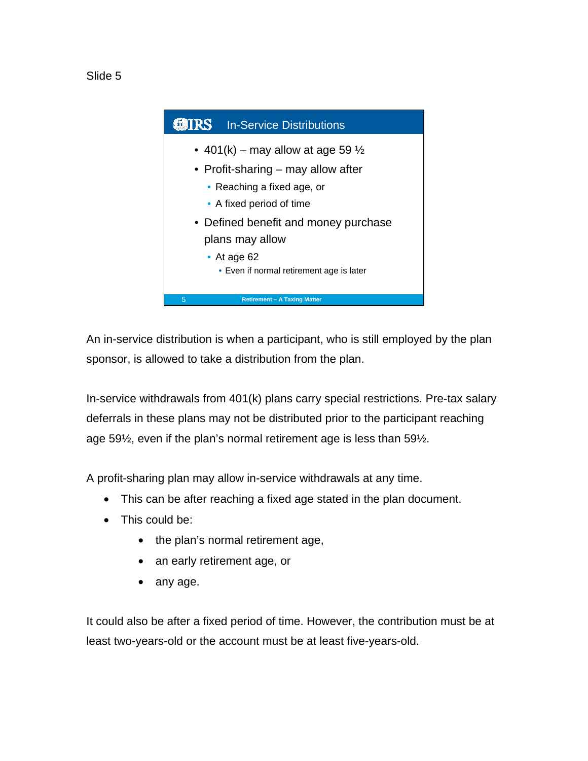



An in-service distribution is when a participant, who is still employed by the plan sponsor, is allowed to take a distribution from the plan.

In-service withdrawals from 401(k) plans carry special restrictions. Pre-tax salary deferrals in these plans may not be distributed prior to the participant reaching age 59½, even if the plan's normal retirement age is less than 59½.

A profit-sharing plan may allow in-service withdrawals at any time.

- This can be after reaching a fixed age stated in the plan document.
- This could be:
	- the plan's normal retirement age,
	- an early retirement age, or
	- any age.

It could also be after a fixed period of time. However, the contribution must be at least two-years-old or the account must be at least five-years-old.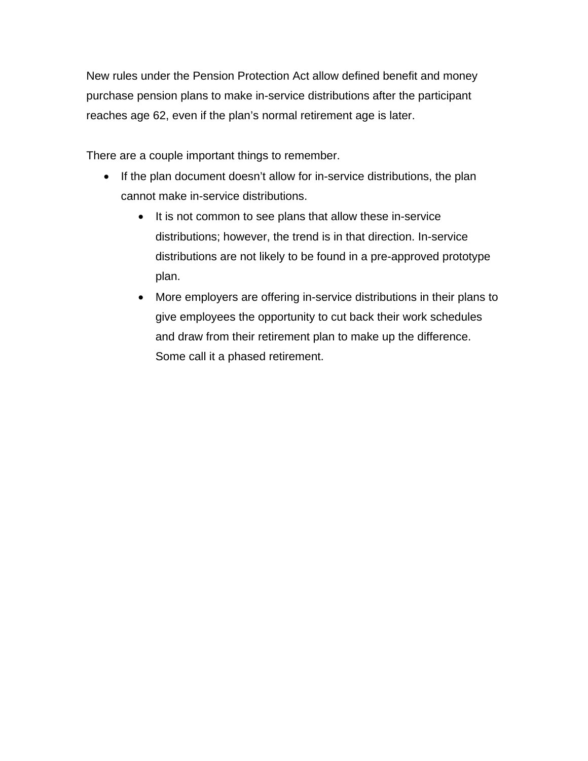New rules under the Pension Protection Act allow defined benefit and money purchase pension plans to make in-service distributions after the participant reaches age 62, even if the plan's normal retirement age is later.

There are a couple important things to remember.

- If the plan document doesn't allow for in-service distributions, the plan cannot make in-service distributions.
	- It is not common to see plans that allow these in-service distributions; however, the trend is in that direction. In-service distributions are not likely to be found in a pre-approved prototype plan.
	- More employers are offering in-service distributions in their plans to give employees the opportunity to cut back their work schedules and draw from their retirement plan to make up the difference. Some call it a phased retirement.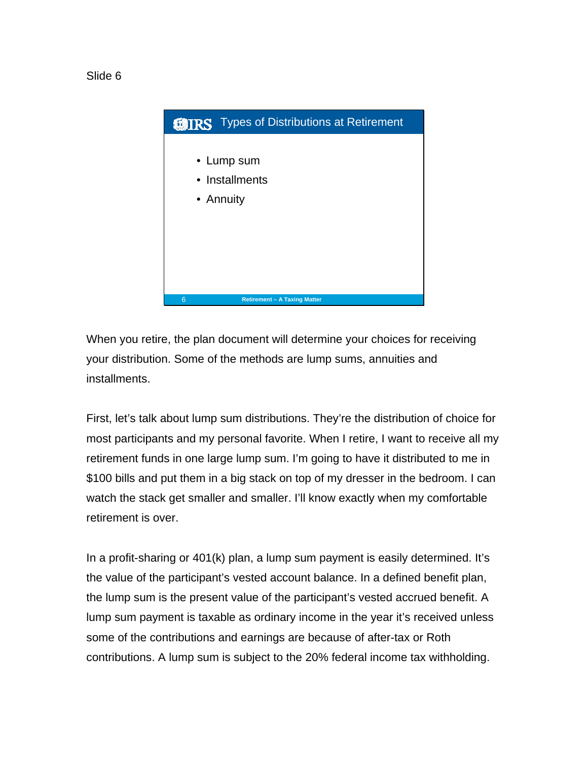



When you retire, the plan document will determine your choices for receiving your distribution. Some of the methods are lump sums, annuities and installments.

First, let's talk about lump sum distributions. They're the distribution of choice for most participants and my personal favorite. When I retire, I want to receive all my retirement funds in one large lump sum. I'm going to have it distributed to me in \$100 bills and put them in a big stack on top of my dresser in the bedroom. I can watch the stack get smaller and smaller. I'll know exactly when my comfortable retirement is over.

In a profit-sharing or 401(k) plan, a lump sum payment is easily determined. It's the value of the participant's vested account balance. In a defined benefit plan, the lump sum is the present value of the participant's vested accrued benefit. A lump sum payment is taxable as ordinary income in the year it's received unless some of the contributions and earnings are because of after-tax or Roth contributions. A lump sum is subject to the 20% federal income tax withholding.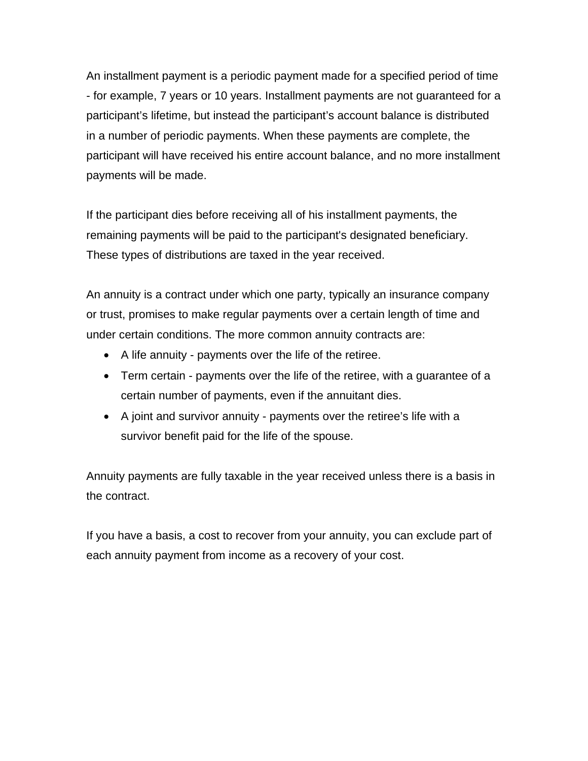An installment payment is a periodic payment made for a specified period of time - for example, 7 years or 10 years. Installment payments are not guaranteed for a participant's lifetime, but instead the participant's account balance is distributed in a number of periodic payments. When these payments are complete, the participant will have received his entire account balance, and no more installment payments will be made.

If the participant dies before receiving all of his installment payments, the remaining payments will be paid to the participant's designated beneficiary. These types of distributions are taxed in the year received.

An annuity is a contract under which one party, typically an insurance company or trust, promises to make regular payments over a certain length of time and under certain conditions. The more common annuity contracts are:

- A life annuity payments over the life of the retiree.
- Term certain payments over the life of the retiree, with a guarantee of a certain number of payments, even if the annuitant dies.
- A joint and survivor annuity payments over the retiree's life with a survivor benefit paid for the life of the spouse.

Annuity payments are fully taxable in the year received unless there is a basis in the contract.

If you have a basis, a cost to recover from your annuity, you can exclude part of each annuity payment from income as a recovery of your cost.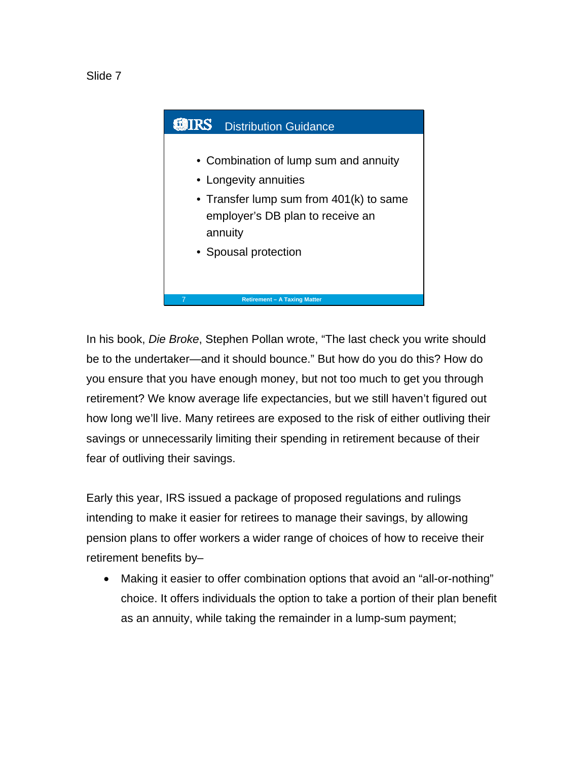



In his book, *Die Broke*, Stephen Pollan wrote, "The last check you write should be to the undertaker—and it should bounce." But how do you do this? How do you ensure that you have enough money, but not too much to get you through retirement? We know average life expectancies, but we still haven't figured out how long we'll live. Many retirees are exposed to the risk of either outliving their savings or unnecessarily limiting their spending in retirement because of their fear of outliving their savings.

Early this year, IRS issued a package of proposed regulations and rulings intending to make it easier for retirees to manage their savings, by allowing pension plans to offer workers a wider range of choices of how to receive their retirement benefits by–

• Making it easier to offer combination options that avoid an "all-or-nothing" choice. It offers individuals the option to take a portion of their plan benefit as an annuity, while taking the remainder in a lump-sum payment;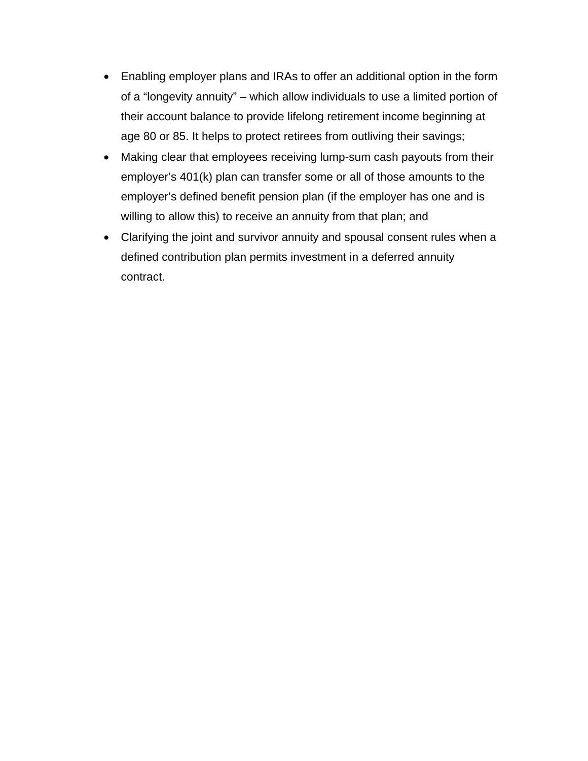- Enabling employer plans and IRAs to offer an additional option in the form of a "longevity annuity" – which allow individuals to use a limited portion of their account balance to provide lifelong retirement income beginning at age 80 or 85. It helps to protect retirees from outliving their savings;
- Making clear that employees receiving lump-sum cash payouts from their employer's 401(k) plan can transfer some or all of those amounts to the employer's defined benefit pension plan (if the employer has one and is willing to allow this) to receive an annuity from that plan; and
- Clarifying the joint and survivor annuity and spousal consent rules when a defined contribution plan permits investment in a deferred annuity contract.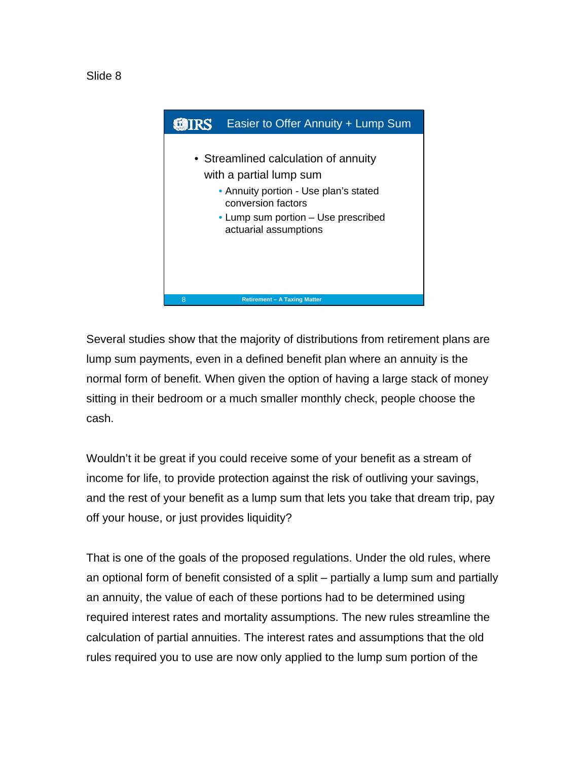



Several studies show that the majority of distributions from retirement plans are lump sum payments, even in a defined benefit plan where an annuity is the normal form of benefit. When given the option of having a large stack of money sitting in their bedroom or a much smaller monthly check, people choose the cash.

Wouldn't it be great if you could receive some of your benefit as a stream of income for life, to provide protection against the risk of outliving your savings, and the rest of your benefit as a lump sum that lets you take that dream trip, pay off your house, or just provides liquidity?

That is one of the goals of the proposed regulations. Under the old rules, where an optional form of benefit consisted of a split – partially a lump sum and partially an annuity, the value of each of these portions had to be determined using required interest rates and mortality assumptions. The new rules streamline the calculation of partial annuities. The interest rates and assumptions that the old rules required you to use are now only applied to the lump sum portion of the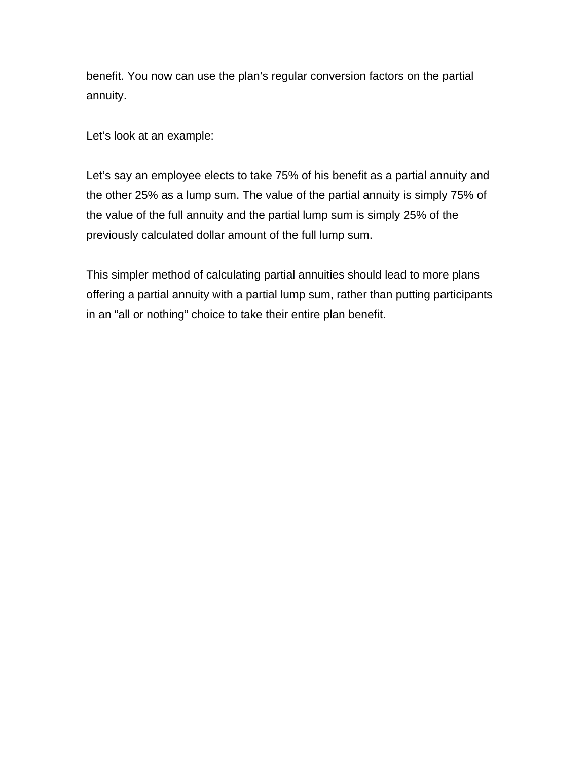benefit. You now can use the plan's regular conversion factors on the partial annuity.

Let's look at an example:

Let's say an employee elects to take 75% of his benefit as a partial annuity and the other 25% as a lump sum. The value of the partial annuity is simply 75% of the value of the full annuity and the partial lump sum is simply 25% of the previously calculated dollar amount of the full lump sum.

This simpler method of calculating partial annuities should lead to more plans offering a partial annuity with a partial lump sum, rather than putting participants in an "all or nothing" choice to take their entire plan benefit.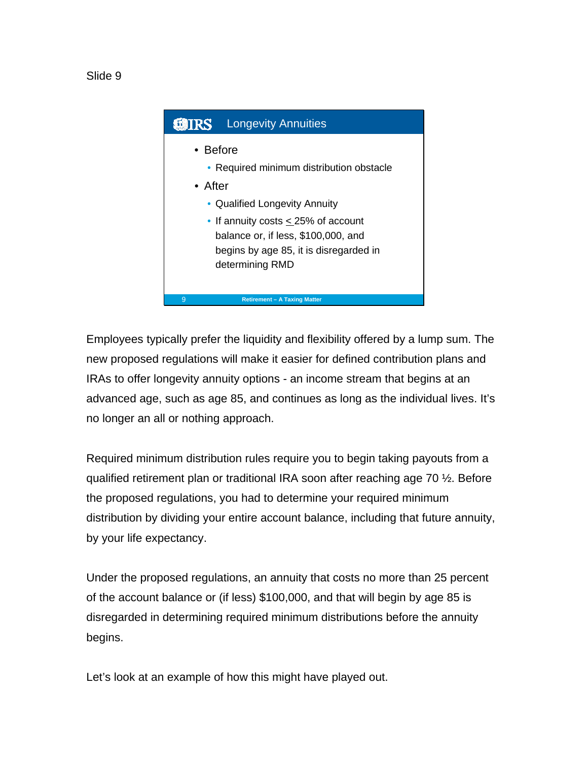Slide 9



Employees typically prefer the liquidity and flexibility offered by a lump sum. The new proposed regulations will make it easier for defined contribution plans and IRAs to offer longevity annuity options - an income stream that begins at an advanced age, such as age 85, and continues as long as the individual lives. It's no longer an all or nothing approach.

Required minimum distribution rules require you to begin taking payouts from a qualified retirement plan or traditional IRA soon after reaching age 70 ½. Before the proposed regulations, you had to determine your required minimum distribution by dividing your entire account balance, including that future annuity, by your life expectancy.

Under the proposed regulations, an annuity that costs no more than 25 percent of the account balance or (if less) \$100,000, and that will begin by age 85 is disregarded in determining required minimum distributions before the annuity begins.

Let's look at an example of how this might have played out.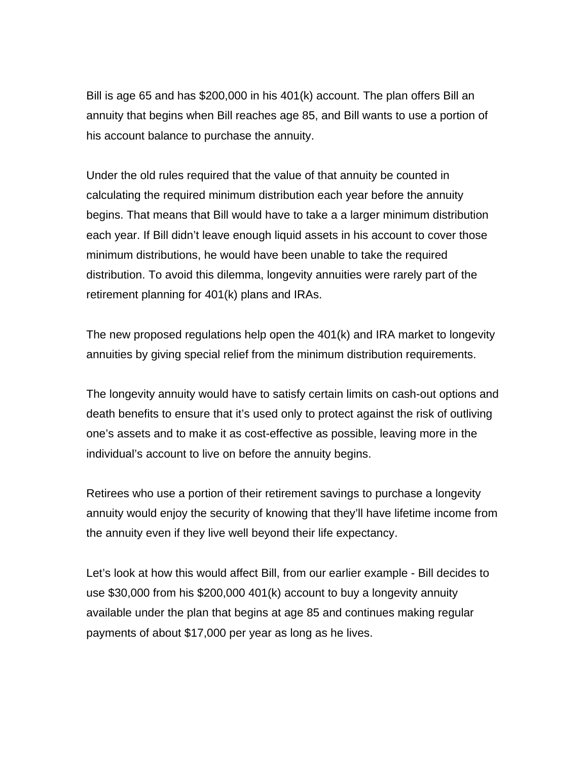Bill is age 65 and has \$200,000 in his 401(k) account. The plan offers Bill an annuity that begins when Bill reaches age 85, and Bill wants to use a portion of his account balance to purchase the annuity.

Under the old rules required that the value of that annuity be counted in calculating the required minimum distribution each year before the annuity begins. That means that Bill would have to take a a larger minimum distribution each year. If Bill didn't leave enough liquid assets in his account to cover those minimum distributions, he would have been unable to take the required distribution. To avoid this dilemma, longevity annuities were rarely part of the retirement planning for 401(k) plans and IRAs.

The new proposed regulations help open the 401(k) and IRA market to longevity annuities by giving special relief from the minimum distribution requirements.

The longevity annuity would have to satisfy certain limits on cash-out options and death benefits to ensure that it's used only to protect against the risk of outliving one's assets and to make it as cost-effective as possible, leaving more in the individual's account to live on before the annuity begins.

Retirees who use a portion of their retirement savings to purchase a longevity annuity would enjoy the security of knowing that they'll have lifetime income from the annuity even if they live well beyond their life expectancy.

Let's look at how this would affect Bill, from our earlier example - Bill decides to use \$30,000 from his \$200,000 401(k) account to buy a longevity annuity available under the plan that begins at age 85 and continues making regular payments of about \$17,000 per year as long as he lives.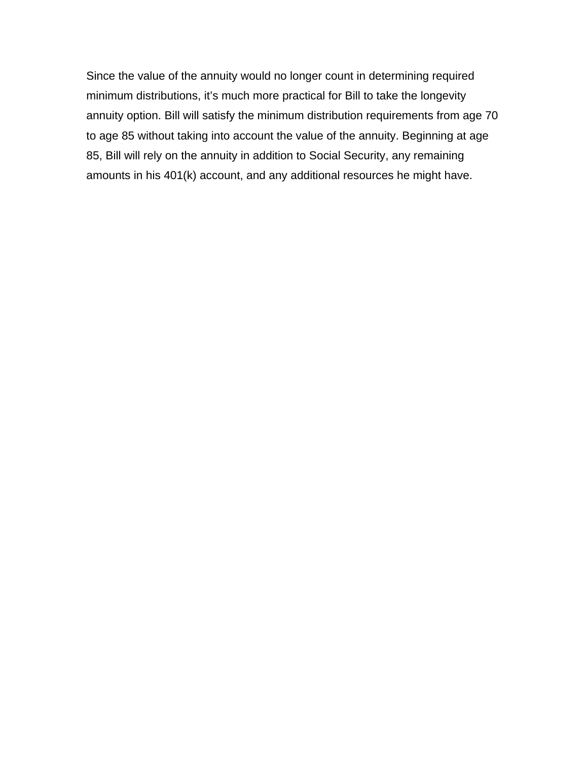Since the value of the annuity would no longer count in determining required minimum distributions, it's much more practical for Bill to take the longevity annuity option. Bill will satisfy the minimum distribution requirements from age 70 to age 85 without taking into account the value of the annuity. Beginning at age 85, Bill will rely on the annuity in addition to Social Security, any remaining amounts in his 401(k) account, and any additional resources he might have.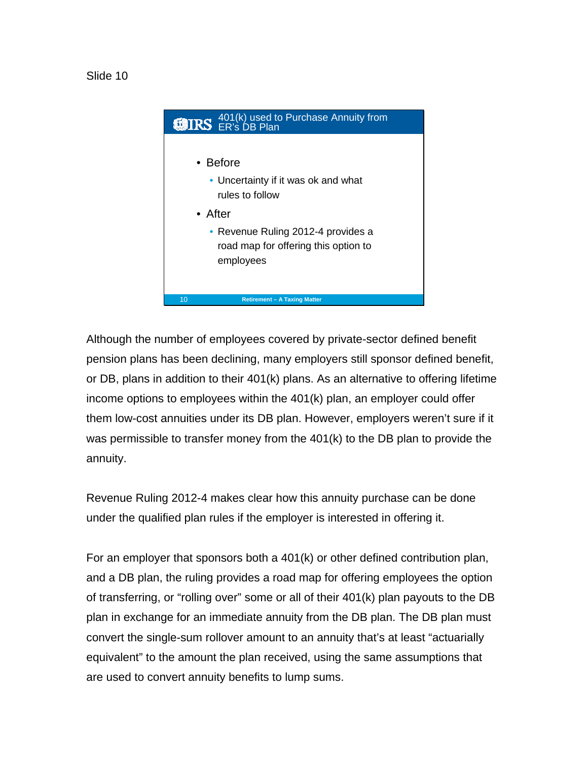

Although the number of employees covered by private-sector defined benefit pension plans has been declining, many employers still sponsor defined benefit, or DB, plans in addition to their 401(k) plans. As an alternative to offering lifetime income options to employees within the 401(k) plan, an employer could offer them low-cost annuities under its DB plan. However, employers weren't sure if it was permissible to transfer money from the 401(k) to the DB plan to provide the annuity.

Revenue Ruling 2012-4 makes clear how this annuity purchase can be done under the qualified plan rules if the employer is interested in offering it.

For an employer that sponsors both a 401(k) or other defined contribution plan, and a DB plan, the ruling provides a road map for offering employees the option of transferring, or "rolling over" some or all of their 401(k) plan payouts to the DB plan in exchange for an immediate annuity from the DB plan. The DB plan must convert the single-sum rollover amount to an annuity that's at least "actuarially equivalent" to the amount the plan received, using the same assumptions that are used to convert annuity benefits to lump sums.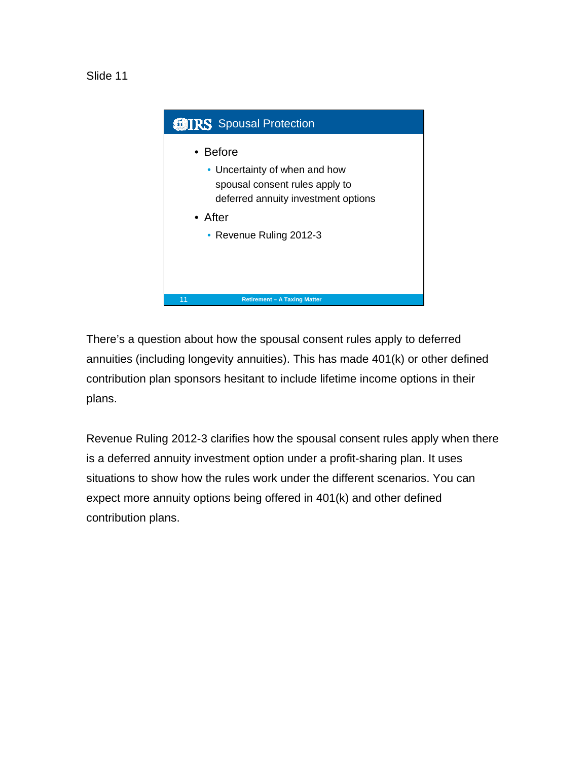Slide 11



There's a question about how the spousal consent rules apply to deferred annuities (including longevity annuities). This has made 401(k) or other defined contribution plan sponsors hesitant to include lifetime income options in their plans.

Revenue Ruling 2012-3 clarifies how the spousal consent rules apply when there is a deferred annuity investment option under a profit-sharing plan. It uses situations to show how the rules work under the different scenarios. You can expect more annuity options being offered in 401(k) and other defined contribution plans.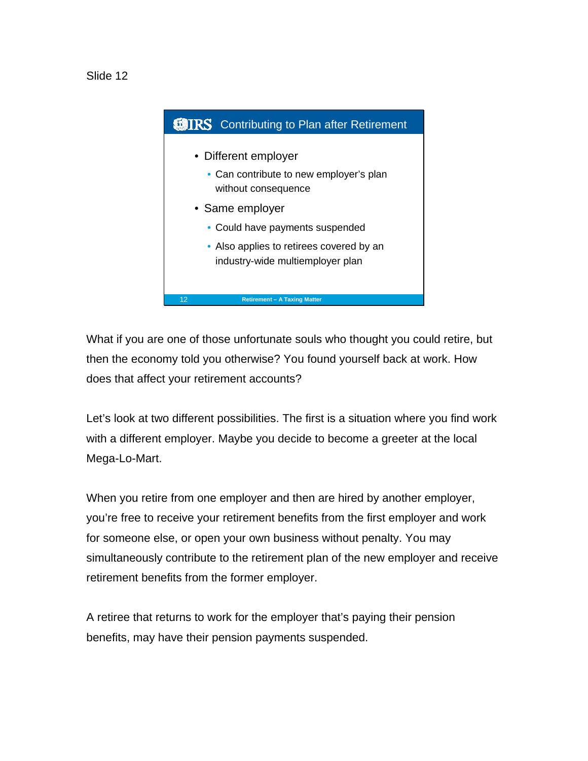

What if you are one of those unfortunate souls who thought you could retire, but then the economy told you otherwise? You found yourself back at work. How does that affect your retirement accounts?

Let's look at two different possibilities. The first is a situation where you find work with a different employer. Maybe you decide to become a greeter at the local Mega-Lo-Mart.

When you retire from one employer and then are hired by another employer, you're free to receive your retirement benefits from the first employer and work for someone else, or open your own business without penalty. You may simultaneously contribute to the retirement plan of the new employer and receive retirement benefits from the former employer.

A retiree that returns to work for the employer that's paying their pension benefits, may have their pension payments suspended.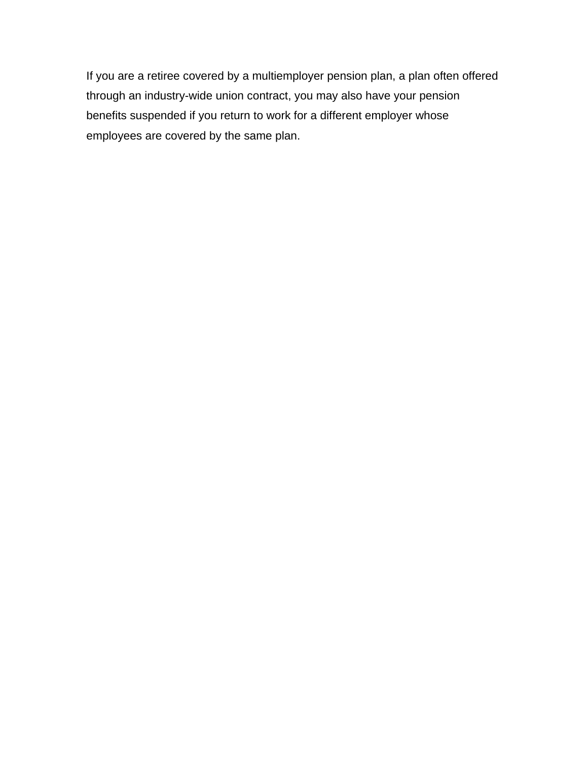If you are a retiree covered by a multiemployer pension plan, a plan often offered through an industry-wide union contract, you may also have your pension benefits suspended if you return to work for a different employer whose employees are covered by the same plan.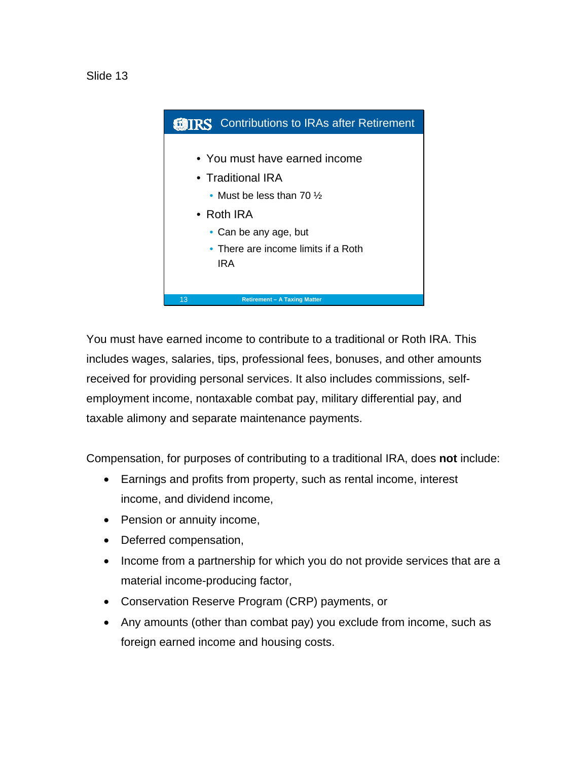

You must have earned income to contribute to a traditional or Roth IRA. This includes wages, salaries, tips, professional fees, bonuses, and other amounts received for providing personal services. It also includes commissions, selfemployment income, nontaxable combat pay, military differential pay, and taxable alimony and separate maintenance payments.

Compensation, for purposes of contributing to a traditional IRA, does **not** include:

- Earnings and profits from property, such as rental income, interest income, and dividend income,
- Pension or annuity income,
- Deferred compensation,
- Income from a partnership for which you do not provide services that are a material income-producing factor,
- Conservation Reserve Program (CRP) payments, or
- Any amounts (other than combat pay) you exclude from income, such as foreign earned income and housing costs.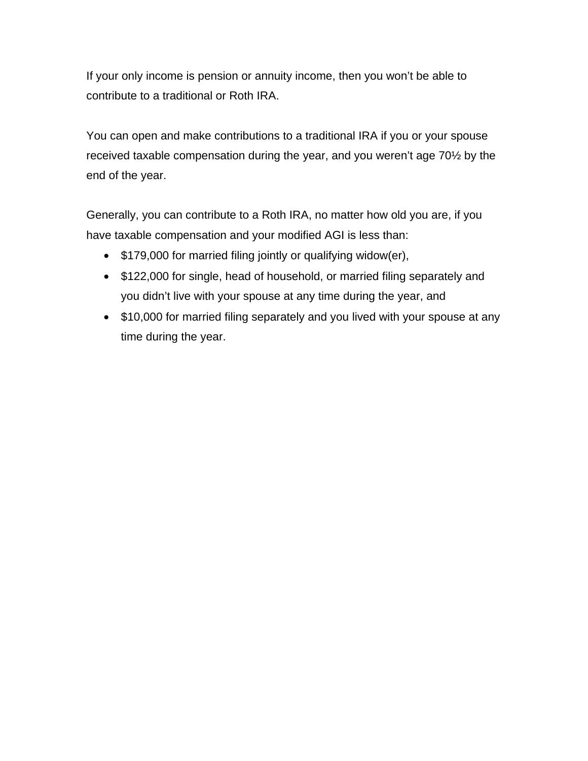If your only income is pension or annuity income, then you won't be able to contribute to a traditional or Roth IRA.

You can open and make contributions to a traditional IRA if you or your spouse received taxable compensation during the year, and you weren't age 70½ by the end of the year.

Generally, you can contribute to a Roth IRA, no matter how old you are, if you have taxable compensation and your modified AGI is less than:

- \$179,000 for married filing jointly or qualifying widow(er),
- \$122,000 for single, head of household, or married filing separately and you didn't live with your spouse at any time during the year, and
- \$10,000 for married filing separately and you lived with your spouse at any time during the year.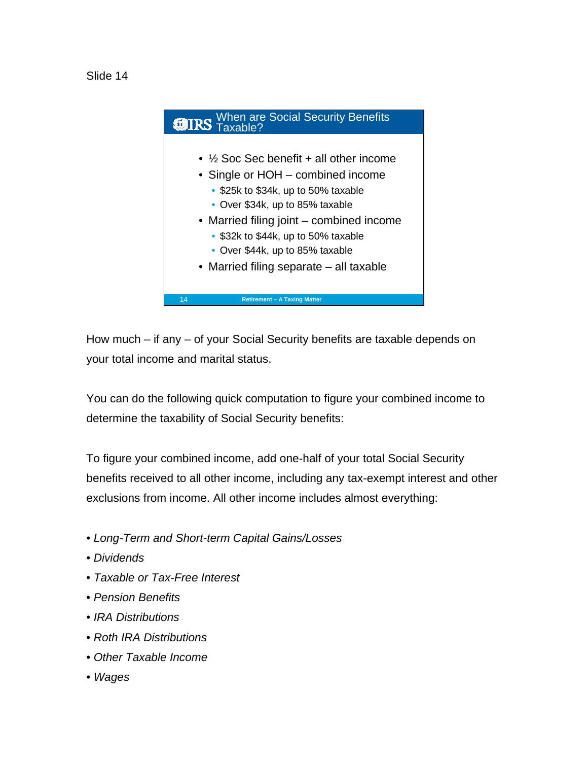



How much – if any – of your Social Security benefits are taxable depends on your total income and marital status.

You can do the following quick computation to figure your combined income to determine the taxability of Social Security benefits:

To figure your combined income, add one-half of your total Social Security benefits received to all other income, including any tax-exempt interest and other exclusions from income. All other income includes almost everything:

- *Long-Term and Short-term Capital Gains/Losses*
- *Dividends*
- *Taxable or Tax-Free Interest*
- *Pension Benefits*
- *IRA Distributions*
- *Roth IRA Distributions*
- *Other Taxable Income*
- *Wages*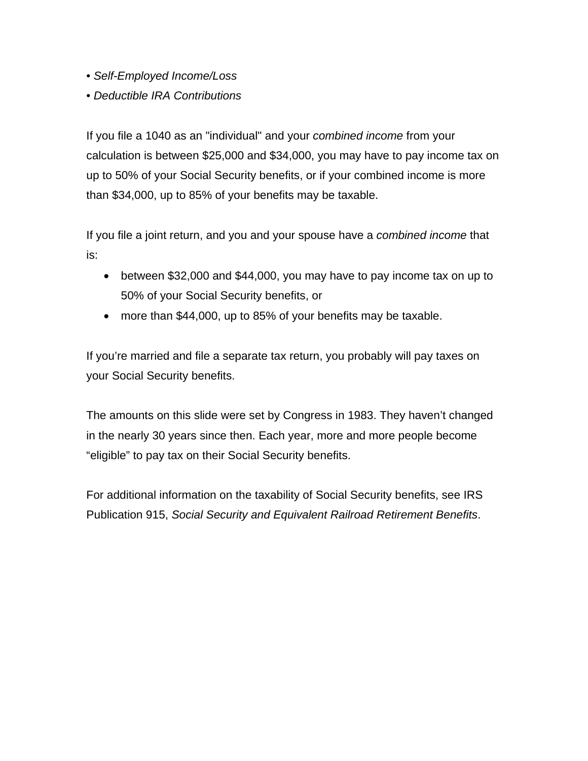- *Self-Employed Income/Loss*
- *Deductible IRA Contributions*

If you file a 1040 as an "individual" and your *combined income* from your calculation is between \$25,000 and \$34,000, you may have to pay income tax on up to 50% of your Social Security benefits, or if your combined income is more than \$34,000, up to 85% of your benefits may be taxable.

If you file a joint return, and you and your spouse have a *combined income* that is:

- between \$32,000 and \$44,000, you may have to pay income tax on up to 50% of your Social Security benefits, or
- more than \$44,000, up to 85% of your benefits may be taxable.

If you're married and file a separate tax return, you probably will pay taxes on your Social Security benefits.

The amounts on this slide were set by Congress in 1983. They haven't changed in the nearly 30 years since then. Each year, more and more people become "eligible" to pay tax on their Social Security benefits.

For additional information on the taxability of Social Security benefits, see IRS Publication 915, *Social Security and Equivalent Railroad Retirement Benefits*.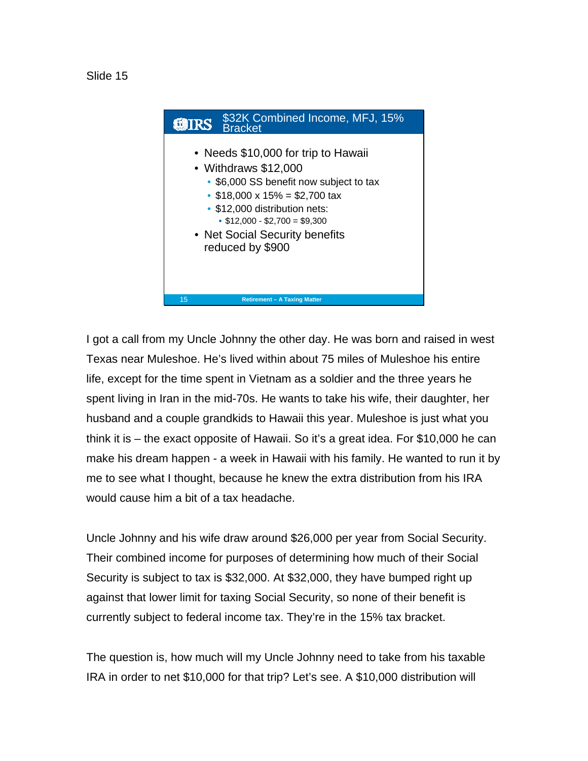



I got a call from my Uncle Johnny the other day. He was born and raised in west Texas near Muleshoe. He's lived within about 75 miles of Muleshoe his entire life, except for the time spent in Vietnam as a soldier and the three years he spent living in Iran in the mid-70s. He wants to take his wife, their daughter, her husband and a couple grandkids to Hawaii this year. Muleshoe is just what you think it is – the exact opposite of Hawaii. So it's a great idea. For \$10,000 he can make his dream happen - a week in Hawaii with his family. He wanted to run it by me to see what I thought, because he knew the extra distribution from his IRA would cause him a bit of a tax headache.

Uncle Johnny and his wife draw around \$26,000 per year from Social Security. Their combined income for purposes of determining how much of their Social Security is subject to tax is \$32,000. At \$32,000, they have bumped right up against that lower limit for taxing Social Security, so none of their benefit is currently subject to federal income tax. They're in the 15% tax bracket.

The question is, how much will my Uncle Johnny need to take from his taxable IRA in order to net \$10,000 for that trip? Let's see. A \$10,000 distribution will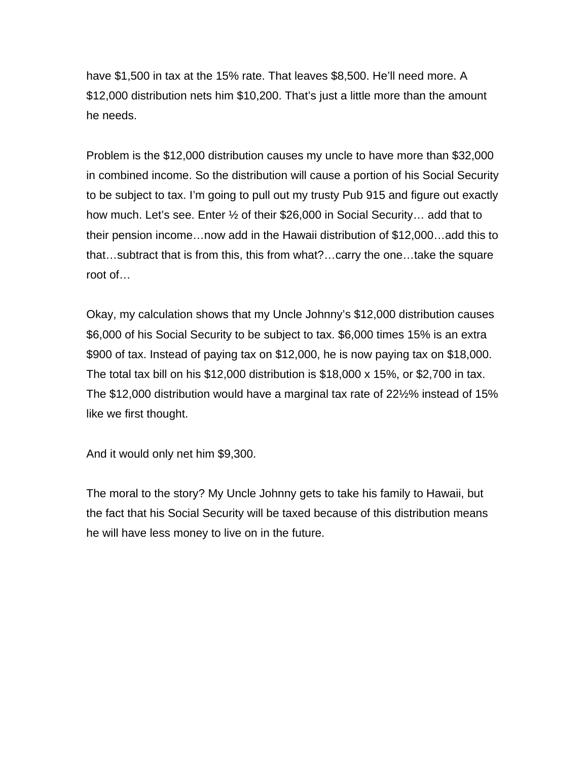have \$1,500 in tax at the 15% rate. That leaves \$8,500. He'll need more. A \$12,000 distribution nets him \$10,200. That's just a little more than the amount he needs.

Problem is the \$12,000 distribution causes my uncle to have more than \$32,000 in combined income. So the distribution will cause a portion of his Social Security to be subject to tax. I'm going to pull out my trusty Pub 915 and figure out exactly how much. Let's see. Enter ½ of their \$26,000 in Social Security… add that to their pension income…now add in the Hawaii distribution of \$12,000…add this to that…subtract that is from this, this from what?…carry the one…take the square root of…

Okay, my calculation shows that my Uncle Johnny's \$12,000 distribution causes \$6,000 of his Social Security to be subject to tax. \$6,000 times 15% is an extra \$900 of tax. Instead of paying tax on \$12,000, he is now paying tax on \$18,000. The total tax bill on his \$12,000 distribution is \$18,000 x 15%, or \$2,700 in tax. The \$12,000 distribution would have a marginal tax rate of 22½% instead of 15% like we first thought.

And it would only net him \$9,300.

The moral to the story? My Uncle Johnny gets to take his family to Hawaii, but the fact that his Social Security will be taxed because of this distribution means he will have less money to live on in the future.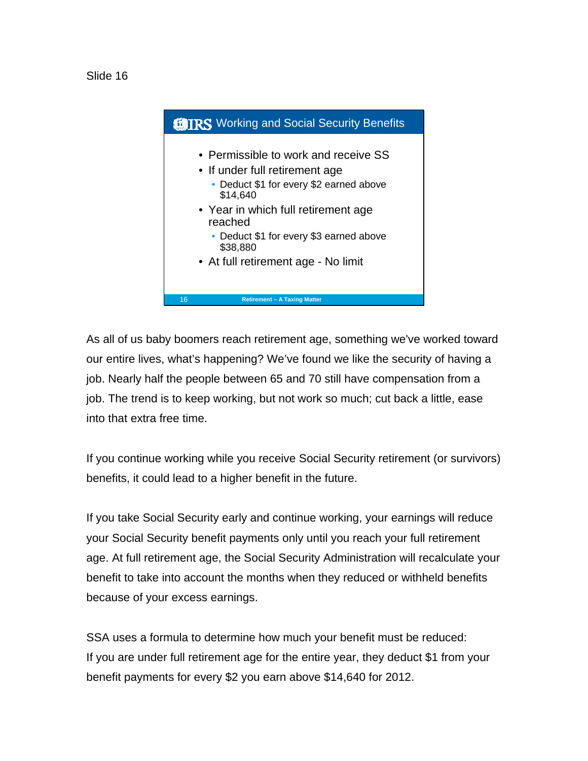



As all of us baby boomers reach retirement age, something we've worked toward our entire lives, what's happening? We've found we like the security of having a job. Nearly half the people between 65 and 70 still have compensation from a job. The trend is to keep working, but not work so much; cut back a little, ease into that extra free time.

If you continue working while you receive Social Security retirement (or survivors) benefits, it could lead to a higher benefit in the future.

If you take Social Security early and continue working, your earnings will reduce your Social Security benefit payments only until you reach your full retirement age. At full retirement age, the Social Security Administration will recalculate your benefit to take into account the months when they reduced or withheld benefits because of your excess earnings.

SSA uses a formula to determine how much your benefit must be reduced: If you are under full retirement age for the entire year, they deduct \$1 from your benefit payments for every \$2 you earn above \$14,640 for 2012.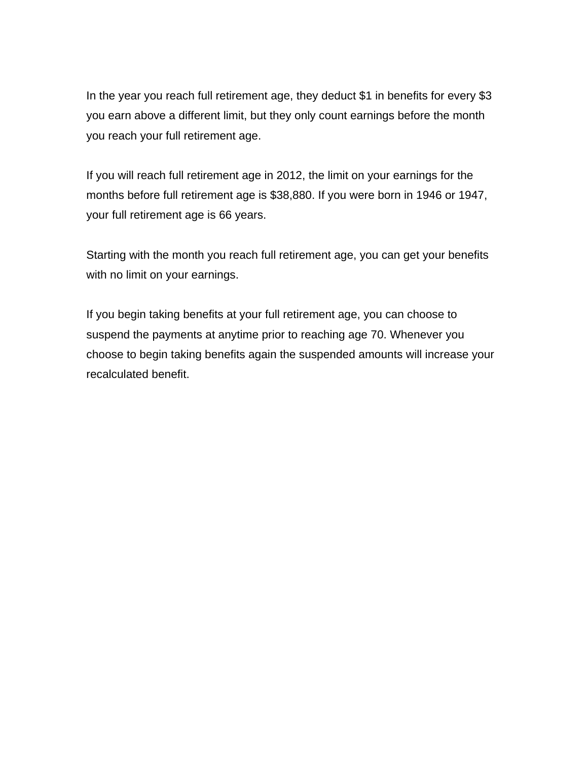In the year you reach full retirement age, they deduct \$1 in benefits for every \$3 you earn above a different limit, but they only count earnings before the month you reach your full retirement age.

If you will reach full retirement age in 2012, the limit on your earnings for the months before full retirement age is \$38,880. If you were born in 1946 or 1947, your full retirement age is 66 years.

Starting with the month you reach full retirement age, you can get your benefits with no limit on your earnings.

If you begin taking benefits at your full retirement age, you can choose to suspend the payments at anytime prior to reaching age 70. Whenever you choose to begin taking benefits again the suspended amounts will increase your recalculated benefit.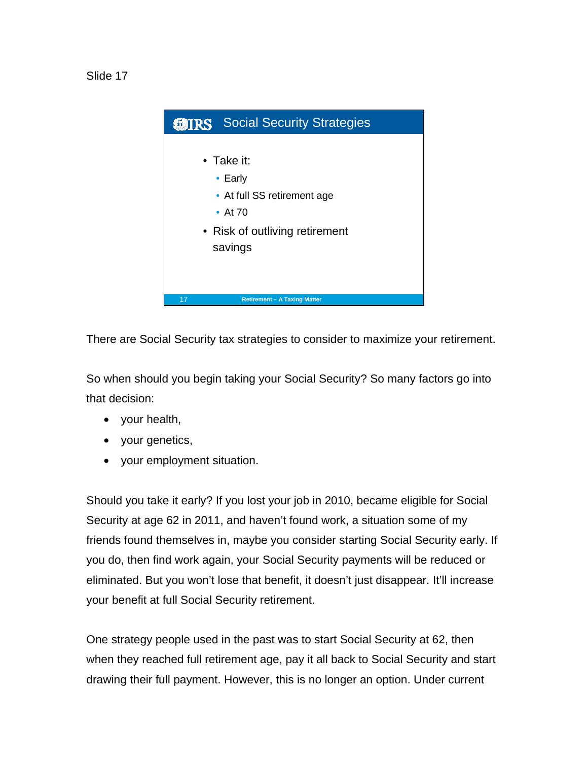

There are Social Security tax strategies to consider to maximize your retirement.

So when should you begin taking your Social Security? So many factors go into that decision:

- your health,
- your genetics,
- your employment situation.

Should you take it early? If you lost your job in 2010, became eligible for Social Security at age 62 in 2011, and haven't found work, a situation some of my friends found themselves in, maybe you consider starting Social Security early. If you do, then find work again, your Social Security payments will be reduced or eliminated. But you won't lose that benefit, it doesn't just disappear. It'll increase your benefit at full Social Security retirement.

One strategy people used in the past was to start Social Security at 62, then when they reached full retirement age, pay it all back to Social Security and start drawing their full payment. However, this is no longer an option. Under current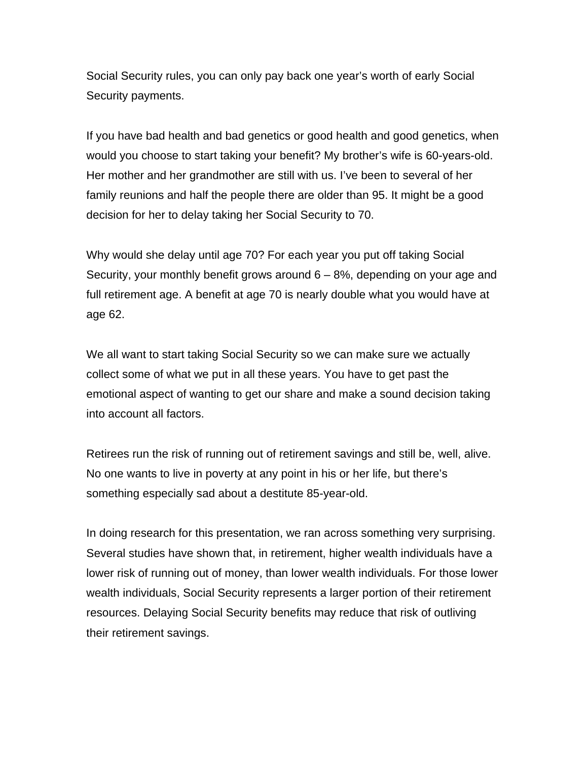Social Security rules, you can only pay back one year's worth of early Social Security payments.

If you have bad health and bad genetics or good health and good genetics, when would you choose to start taking your benefit? My brother's wife is 60-years-old. Her mother and her grandmother are still with us. I've been to several of her family reunions and half the people there are older than 95. It might be a good decision for her to delay taking her Social Security to 70.

Why would she delay until age 70? For each year you put off taking Social Security, your monthly benefit grows around 6 – 8%, depending on your age and full retirement age. A benefit at age 70 is nearly double what you would have at age 62.

We all want to start taking Social Security so we can make sure we actually collect some of what we put in all these years. You have to get past the emotional aspect of wanting to get our share and make a sound decision taking into account all factors.

Retirees run the risk of running out of retirement savings and still be, well, alive. No one wants to live in poverty at any point in his or her life, but there's something especially sad about a destitute 85-year-old.

In doing research for this presentation, we ran across something very surprising. Several studies have shown that, in retirement, higher wealth individuals have a lower risk of running out of money, than lower wealth individuals. For those lower wealth individuals, Social Security represents a larger portion of their retirement resources. Delaying Social Security benefits may reduce that risk of outliving their retirement savings.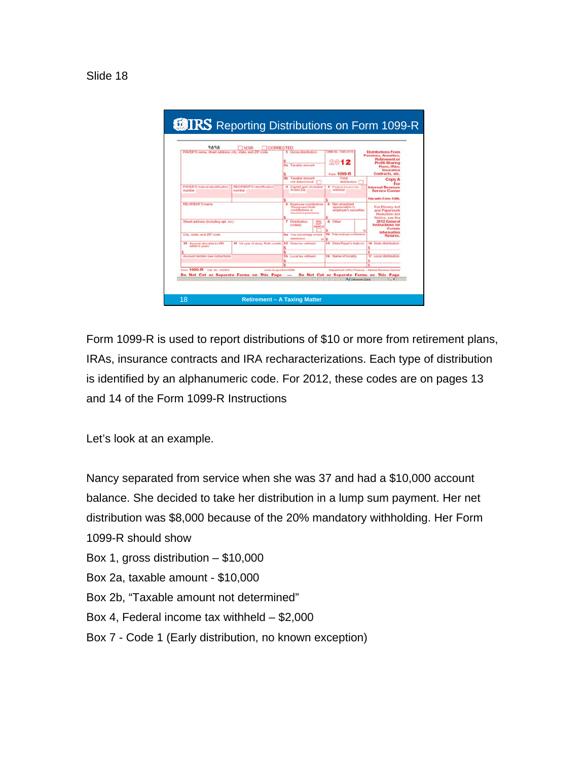



Form 1099-R is used to report distributions of \$10 or more from retirement plans, IRAs, insurance contracts and IRA recharacterizations. Each type of distribution is identified by an alphanumeric code. For 2012, these codes are on pages 13 and 14 of the Form 1099-R Instructions

Let's look at an example.

Nancy separated from service when she was 37 and had a \$10,000 account balance. She decided to take her distribution in a lump sum payment. Her net distribution was \$8,000 because of the 20% mandatory withholding. Her Form 1099-R should show

- Box 1, gross distribution \$10,000
- Box 2a, taxable amount \$10,000
- Box 2b, "Taxable amount not determined"
- Box 4, Federal income tax withheld \$2,000
- Box 7 Code 1 (Early distribution, no known exception)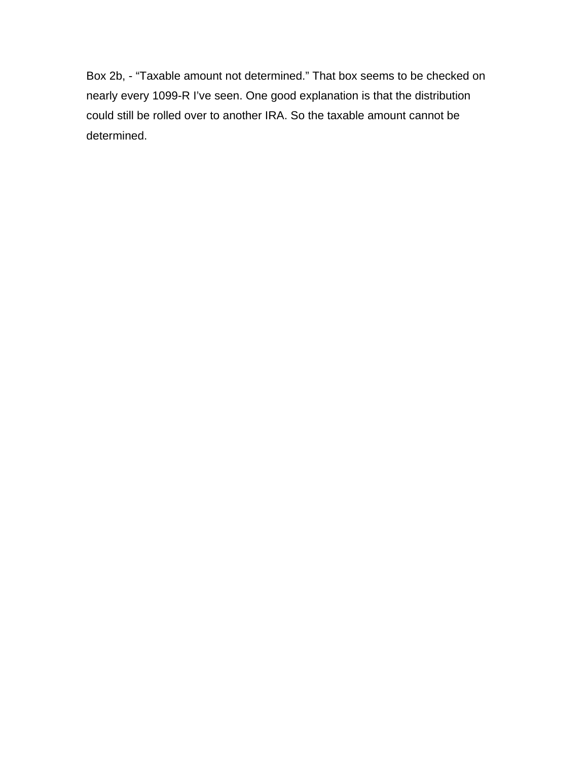Box 2b, - "Taxable amount not determined." That box seems to be checked on nearly every 1099-R I've seen. One good explanation is that the distribution could still be rolled over to another IRA. So the taxable amount cannot be determined.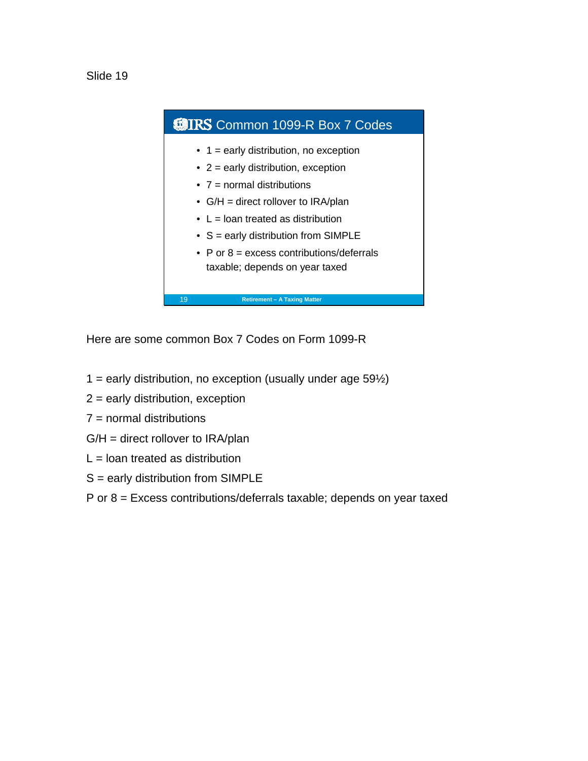



Here are some common Box 7 Codes on Form 1099-R

- $1$  = early distribution, no exception (usually under age 59 $\frac{1}{2}$ )
- $2$  = early distribution, exception
- 7 = normal distributions
- G/H = direct rollover to IRA/plan
- $L =$  loan treated as distribution
- S = early distribution from SIMPLE
- P or 8 = Excess contributions/deferrals taxable; depends on year taxed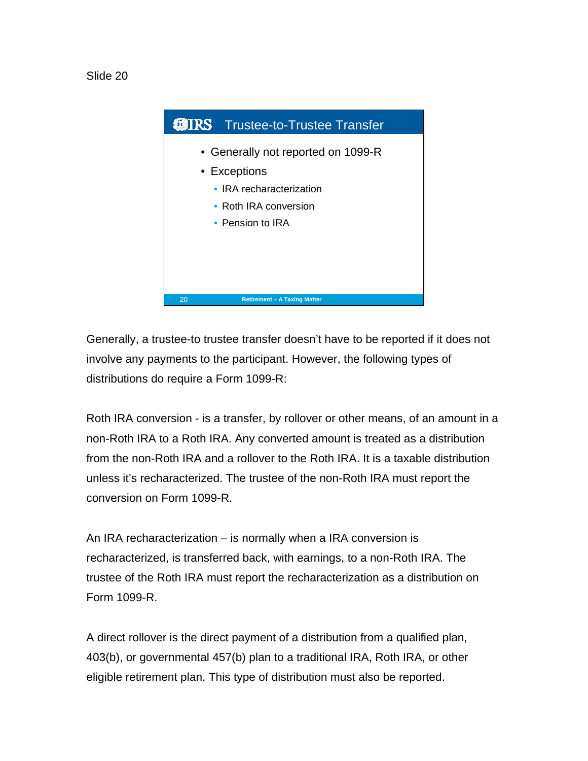Slide 20



Generally, a trustee-to trustee transfer doesn't have to be reported if it does not involve any payments to the participant. However, the following types of distributions do require a Form 1099-R:

Roth IRA conversion - is a transfer, by rollover or other means, of an amount in a non-Roth IRA to a Roth IRA. Any converted amount is treated as a distribution from the non-Roth IRA and a rollover to the Roth IRA. It is a taxable distribution unless it's recharacterized. The trustee of the non-Roth IRA must report the conversion on Form 1099-R.

An IRA recharacterization – is normally when a IRA conversion is recharacterized, is transferred back, with earnings, to a non-Roth IRA. The trustee of the Roth IRA must report the recharacterization as a distribution on Form 1099-R.

A direct rollover is the direct payment of a distribution from a qualified plan, 403(b), or governmental 457(b) plan to a traditional IRA, Roth IRA, or other eligible retirement plan. This type of distribution must also be reported.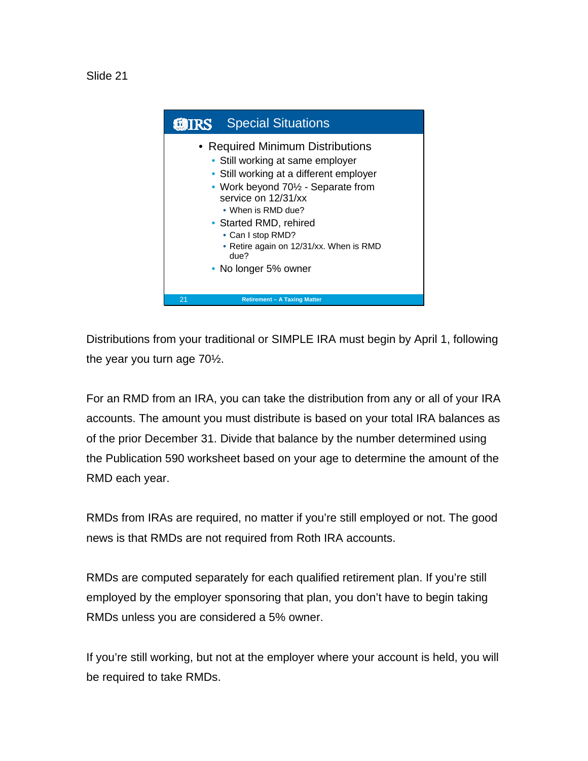

Distributions from your traditional or SIMPLE IRA must begin by April 1, following the year you turn age 70½.

For an RMD from an IRA, you can take the distribution from any or all of your IRA accounts. The amount you must distribute is based on your total IRA balances as of the prior December 31. Divide that balance by the number determined using the Publication 590 worksheet based on your age to determine the amount of the RMD each year.

RMDs from IRAs are required, no matter if you're still employed or not. The good news is that RMDs are not required from Roth IRA accounts.

RMDs are computed separately for each qualified retirement plan. If you're still employed by the employer sponsoring that plan, you don't have to begin taking RMDs unless you are considered a 5% owner.

If you're still working, but not at the employer where your account is held, you will be required to take RMDs.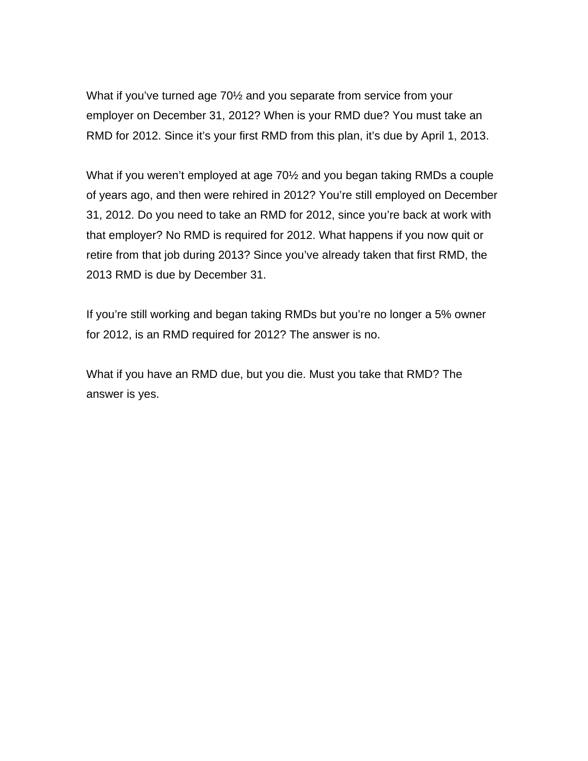What if you've turned age 70½ and you separate from service from your employer on December 31, 2012? When is your RMD due? You must take an RMD for 2012. Since it's your first RMD from this plan, it's due by April 1, 2013.

What if you weren't employed at age 70½ and you began taking RMDs a couple of years ago, and then were rehired in 2012? You're still employed on December 31, 2012. Do you need to take an RMD for 2012, since you're back at work with that employer? No RMD is required for 2012. What happens if you now quit or retire from that job during 2013? Since you've already taken that first RMD, the 2013 RMD is due by December 31.

If you're still working and began taking RMDs but you're no longer a 5% owner for 2012, is an RMD required for 2012? The answer is no.

What if you have an RMD due, but you die. Must you take that RMD? The answer is yes.